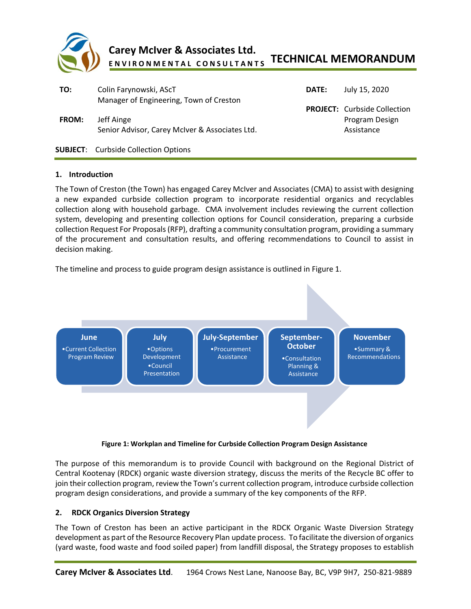

#### **TECHNICAL MEMORANDUM Carey McIver & Associates Ltd. E N V I R O N M E N T A L C O N S U L T A N T S**

| TO:<br><b>FROM:</b> | Colin Farynowski, AScT<br>Manager of Engineering, Town of Creston<br>Jeff Ainge<br>Senior Advisor, Carey McIver & Associates Ltd. | <b>DATE:</b> | July 15, 2020<br><b>PROJECT:</b> Curbside Collection<br>Program Design<br>Assistance |
|---------------------|-----------------------------------------------------------------------------------------------------------------------------------|--------------|--------------------------------------------------------------------------------------|
|                     | <b>SUBJECT:</b> Curbside Collection Options                                                                                       |              |                                                                                      |
|                     |                                                                                                                                   |              |                                                                                      |

### **1. Introduction**

The Town of Creston (the Town) has engaged Carey McIver and Associates (CMA) to assist with designing a new expanded curbside collection program to incorporate residential organics and recyclables collection along with household garbage. CMA involvement includes reviewing the current collection system, developing and presenting collection options for Council consideration, preparing a curbside collection Request For Proposals (RFP), drafting a community consultation program, providing a summary of the procurement and consultation results, and offering recommendations to Council to assist in decision making.

The timeline and process to guide program design assistance is outlined in Figure 1.



### **Figure 1: Workplan and Timeline for Curbside Collection Program Design Assistance**

The purpose of this memorandum is to provide Council with background on the Regional District of Central Kootenay (RDCK) organic waste diversion strategy, discuss the merits of the Recycle BC offer to join their collection program, review the Town's current collection program, introduce curbside collection program design considerations, and provide a summary of the key components of the RFP.

### **2. RDCK Organics Diversion Strategy**

The Town of Creston has been an active participant in the RDCK Organic Waste Diversion Strategy development as part of the Resource Recovery Plan update process. To facilitate the diversion of organics (yard waste, food waste and food soiled paper) from landfill disposal, the Strategy proposes to establish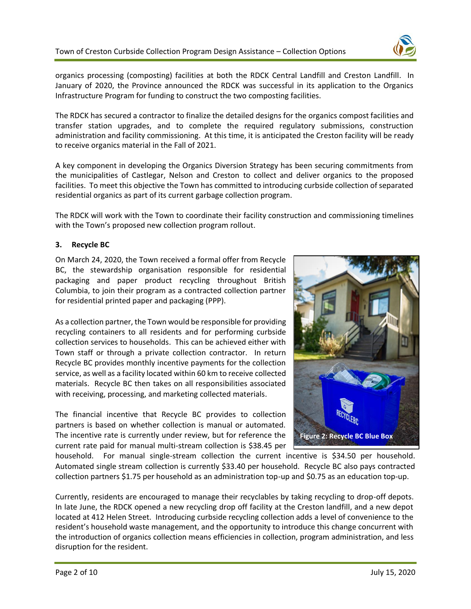

organics processing (composting) facilities at both the RDCK Central Landfill and Creston Landfill. In January of 2020, the Province announced the RDCK was successful in its application to the Organics Infrastructure Program for funding to construct the two composting facilities.

The RDCK has secured a contractor to finalize the detailed designs for the organics compost facilities and transfer station upgrades, and to complete the required regulatory submissions, construction administration and facility commissioning. At this time, it is anticipated the Creston facility will be ready to receive organics material in the Fall of 2021.

A key component in developing the Organics Diversion Strategy has been securing commitments from the municipalities of Castlegar, Nelson and Creston to collect and deliver organics to the proposed facilities. To meet this objective the Town has committed to introducing curbside collection of separated residential organics as part of its current garbage collection program.

The RDCK will work with the Town to coordinate their facility construction and commissioning timelines with the Town's proposed new collection program rollout.

# **3. Recycle BC**

On March 24, 2020, the Town received a formal offer from Recycle BC, the stewardship organisation responsible for residential packaging and paper product recycling throughout British Columbia, to join their program as a contracted collection partner for residential printed paper and packaging (PPP).

As a collection partner, the Town would be responsible for providing recycling containers to all residents and for performing curbside collection services to households. This can be achieved either with Town staff or through a private collection contractor. In return Recycle BC provides monthly incentive payments for the collection service, as well as a facility located within 60 km to receive collected materials. Recycle BC then takes on all responsibilities associated with receiving, processing, and marketing collected materials.

The financial incentive that Recycle BC provides to collection partners is based on whether collection is manual or automated. The incentive rate is currently under review, but for reference the current rate paid for manual multi-stream collection is \$38.45 per



household. For manual single-stream collection the current incentive is \$34.50 per household. Automated single stream collection is currently \$33.40 per household. Recycle BC also pays contracted collection partners \$1.75 per household as an administration top-up and \$0.75 as an education top-up.

Currently, residents are encouraged to manage their recyclables by taking recycling to drop-off depots. In late June, the RDCK opened a new recycling drop off facility at the Creston landfill, and a new depot located at 412 Helen Street. Introducing curbside recycling collection adds a level of convenience to the resident's household waste management, and the opportunity to introduce this change concurrent with the introduction of organics collection means efficiencies in collection, program administration, and less disruption for the resident.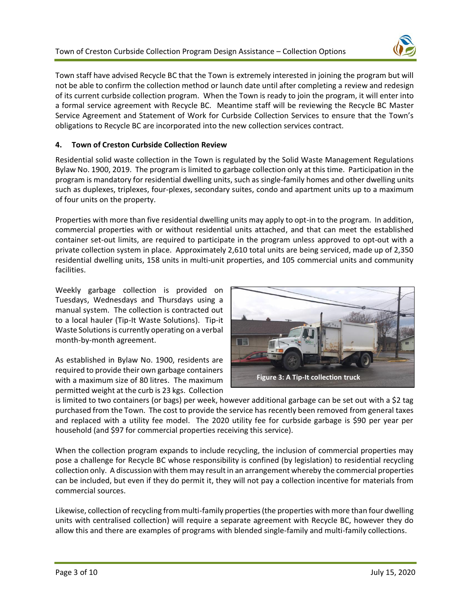

Town staff have advised Recycle BC that the Town is extremely interested in joining the program but will not be able to confirm the collection method or launch date until after completing a review and redesign of its current curbside collection program. When the Town is ready to join the program, it will enter into a formal service agreement with Recycle BC. Meantime staff will be reviewing the Recycle BC Master Service Agreement and Statement of Work for Curbside Collection Services to ensure that the Town's obligations to Recycle BC are incorporated into the new collection services contract.

# **4. Town of Creston Curbside Collection Review**

Residential solid waste collection in the Town is regulated by the Solid Waste Management Regulations Bylaw No. 1900, 2019. The program is limited to garbage collection only at this time. Participation in the program is mandatory for residential dwelling units, such as single-family homes and other dwelling units such as duplexes, triplexes, four-plexes, secondary suites, condo and apartment units up to a maximum of four units on the property.

Properties with more than five residential dwelling units may apply to opt-in to the program. In addition, commercial properties with or without residential units attached, and that can meet the established container set-out limits, are required to participate in the program unless approved to opt-out with a private collection system in place. Approximately 2,610 total units are being serviced, made up of 2,350 residential dwelling units, 158 units in multi-unit properties, and 105 commercial units and community facilities.

Weekly garbage collection is provided on Tuesdays, Wednesdays and Thursdays using a manual system. The collection is contracted out to a local hauler (Tip-It Waste Solutions). Tip-it Waste Solutions is currently operating on a verbal month-by-month agreement.

As established in Bylaw No. 1900, residents are required to provide their own garbage containers with a maximum size of 80 litres. The maximum permitted weight at the curb is 23 kgs. Collection



is limited to two containers (or bags) per week, however additional garbage can be set out with a \$2 tag purchased from the Town. The cost to provide the service has recently been removed from general taxes and replaced with a utility fee model. The 2020 utility fee for curbside garbage is \$90 per year per household (and \$97 for commercial properties receiving this service).

When the collection program expands to include recycling, the inclusion of commercial properties may pose a challenge for Recycle BC whose responsibility is confined (by legislation) to residential recycling collection only. A discussion with them may result in an arrangement whereby the commercial properties can be included, but even if they do permit it, they will not pay a collection incentive for materials from commercial sources.

Likewise, collection of recycling from multi-family properties (the properties with more than four dwelling units with centralised collection) will require a separate agreement with Recycle BC, however they do allow this and there are examples of programs with blended single-family and multi-family collections.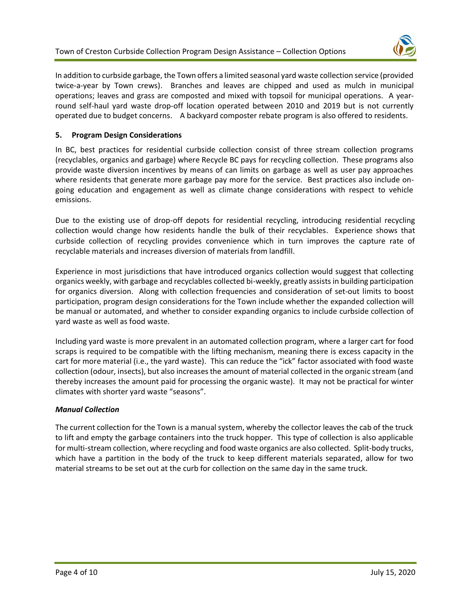

In addition to curbside garbage, the Town offers a limited seasonal yard waste collection service (provided twice-a-year by Town crews). Branches and leaves are chipped and used as mulch in municipal operations; leaves and grass are composted and mixed with topsoil for municipal operations. A yearround self-haul yard waste drop-off location operated between 2010 and 2019 but is not currently operated due to budget concerns. A backyard composter rebate program is also offered to residents.

# **5. Program Design Considerations**

In BC, best practices for residential curbside collection consist of three stream collection programs (recyclables, organics and garbage) where Recycle BC pays for recycling collection. These programs also provide waste diversion incentives by means of can limits on garbage as well as user pay approaches where residents that generate more garbage pay more for the service. Best practices also include ongoing education and engagement as well as climate change considerations with respect to vehicle emissions.

Due to the existing use of drop-off depots for residential recycling, introducing residential recycling collection would change how residents handle the bulk of their recyclables. Experience shows that curbside collection of recycling provides convenience which in turn improves the capture rate of recyclable materials and increases diversion of materials from landfill.

Experience in most jurisdictions that have introduced organics collection would suggest that collecting organics weekly, with garbage and recyclables collected bi-weekly, greatly assists in building participation for organics diversion. Along with collection frequencies and consideration of set-out limits to boost participation, program design considerations for the Town include whether the expanded collection will be manual or automated, and whether to consider expanding organics to include curbside collection of yard waste as well as food waste.

Including yard waste is more prevalent in an automated collection program, where a larger cart for food scraps is required to be compatible with the lifting mechanism, meaning there is excess capacity in the cart for more material (i.e., the yard waste). This can reduce the "ick" factor associated with food waste collection (odour, insects), but also increases the amount of material collected in the organic stream (and thereby increases the amount paid for processing the organic waste). It may not be practical for winter climates with shorter yard waste "seasons".

### *Manual Collection*

The current collection for the Town is a manual system, whereby the collector leaves the cab of the truck to lift and empty the garbage containers into the truck hopper. This type of collection is also applicable for multi-stream collection, where recycling and food waste organics are also collected. Split-body trucks, which have a partition in the body of the truck to keep different materials separated, allow for two material streams to be set out at the curb for collection on the same day in the same truck.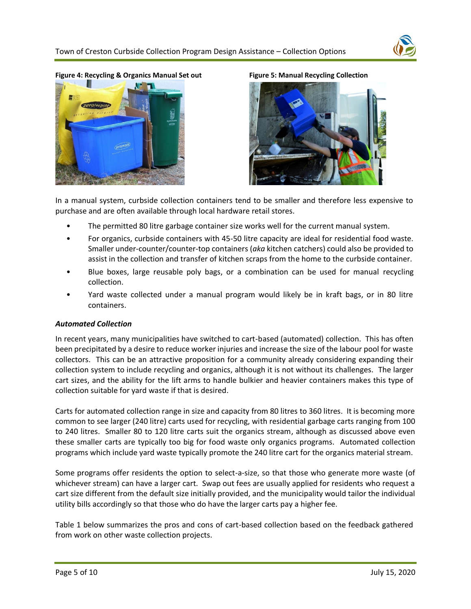

**Figure 4: Recycling & Organics Manual Set out Figure 5: Manual Recycling Collection**





In a manual system, curbside collection containers tend to be smaller and therefore less expensive to purchase and are often available through local hardware retail stores.

- The permitted 80 litre garbage container size works well for the current manual system.
- For organics, curbside containers with 45-50 litre capacity are ideal for residential food waste. Smaller under-counter/counter-top containers (*aka* kitchen catchers) could also be provided to assist in the collection and transfer of kitchen scraps from the home to the curbside container.
- Blue boxes, large reusable poly bags, or a combination can be used for manual recycling collection.
- Yard waste collected under a manual program would likely be in kraft bags, or in 80 litre containers.

### *Automated Collection*

In recent years, many municipalities have switched to cart-based (automated) collection. This has often been precipitated by a desire to reduce worker injuries and increase the size of the labour pool for waste collectors. This can be an attractive proposition for a community already considering expanding their collection system to include recycling and organics, although it is not without its challenges. The larger cart sizes, and the ability for the lift arms to handle bulkier and heavier containers makes this type of collection suitable for yard waste if that is desired.

Carts for automated collection range in size and capacity from 80 litres to 360 litres. It is becoming more common to see larger (240 litre) carts used for recycling, with residential garbage carts ranging from 100 to 240 litres. Smaller 80 to 120 litre carts suit the organics stream, although as discussed above even these smaller carts are typically too big for food waste only organics programs. Automated collection programs which include yard waste typically promote the 240 litre cart for the organics material stream.

Some programs offer residents the option to select-a-size, so that those who generate more waste (of whichever stream) can have a larger cart. Swap out fees are usually applied for residents who request a cart size different from the default size initially provided, and the municipality would tailor the individual utility bills accordingly so that those who do have the larger carts pay a higher fee.

Table 1 below summarizes the pros and cons of cart-based collection based on the feedback gathered from work on other waste collection projects.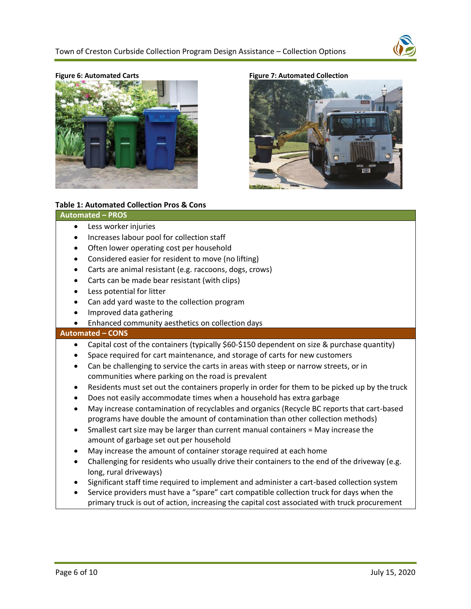



**Figure 6: Automated Carts Figure 7: Automated Collection**



### **Table 1: Automated Collection Pros & Cons**

#### **Automated – PROS**

- Less worker injuries
- Increases labour pool for collection staff
- Often lower operating cost per household
- Considered easier for resident to move (no lifting)
- Carts are animal resistant (e.g. raccoons, dogs, crows)
- Carts can be made bear resistant (with clips)
- Less potential for litter
- Can add yard waste to the collection program
- Improved data gathering
- Enhanced community aesthetics on collection days

#### **Automated – CONS**

- Capital cost of the containers (typically \$60-\$150 dependent on size & purchase quantity)
- Space required for cart maintenance, and storage of carts for new customers
- Can be challenging to service the carts in areas with steep or narrow streets, or in communities where parking on the road is prevalent
- Residents must set out the containers properly in order for them to be picked up by the truck
- Does not easily accommodate times when a household has extra garbage
- May increase contamination of recyclables and organics (Recycle BC reports that cart-based programs have double the amount of contamination than other collection methods)
- Smallest cart size may be larger than current manual containers = May increase the amount of garbage set out per household
- May increase the amount of container storage required at each home
- Challenging for residents who usually drive their containers to the end of the driveway (e.g. long, rural driveways)
- Significant staff time required to implement and administer a cart-based collection system
- Service providers must have a "spare" cart compatible collection truck for days when the primary truck is out of action, increasing the capital cost associated with truck procurement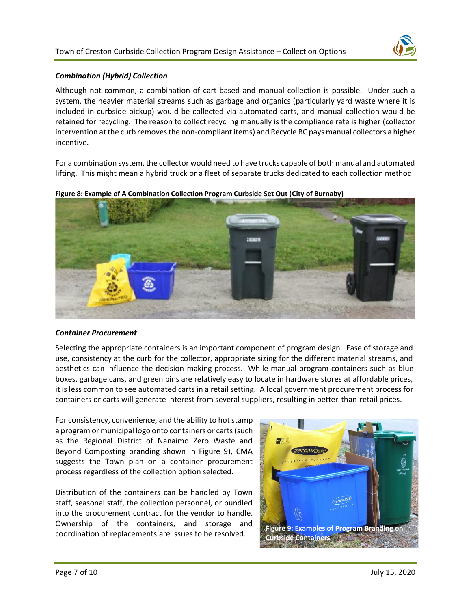

### *Combination (Hybrid) Collection*

Although not common, a combination of cart-based and manual collection is possible. Under such a system, the heavier material streams such as garbage and organics (particularly yard waste where it is included in curbside pickup) would be collected via automated carts, and manual collection would be retained for recycling. The reason to collect recycling manually is the compliance rate is higher (collector intervention at the curb removes the non-compliant items) and Recycle BC pays manual collectors a higher incentive.

For a combination system, the collector would need to have trucks capable of both manual and automated lifting. This might mean a hybrid truck or a fleet of separate trucks dedicated to each collection method



**Figure 8: Example of A Combination Collection Program Curbside Set Out (City of Burnaby)**

#### *Container Procurement*

Selecting the appropriate containers is an important component of program design. Ease of storage and use, consistency at the curb for the collector, appropriate sizing for the different material streams, and aesthetics can influence the decision-making process. While manual program containers such as blue boxes, garbage cans, and green bins are relatively easy to locate in hardware stores at affordable prices, it is less common to see automated carts in a retail setting. A local government procurement process for containers or carts will generate interest from several suppliers, resulting in better-than-retail prices.

For consistency, convenience, and the ability to hot stamp a program or municipal logo onto containers or carts(such as the Regional District of Nanaimo Zero Waste and Beyond Composting branding shown in Figure 9), CMA suggests the Town plan on a container procurement process regardless of the collection option selected.

Distribution of the containers can be handled by Town staff, seasonal staff, the collection personnel, or bundled into the procurement contract for the vendor to handle. Ownership of the containers, and storage and coordination of replacements are issues to be resolved. **Figure 9: Examples of Program Branding on** 

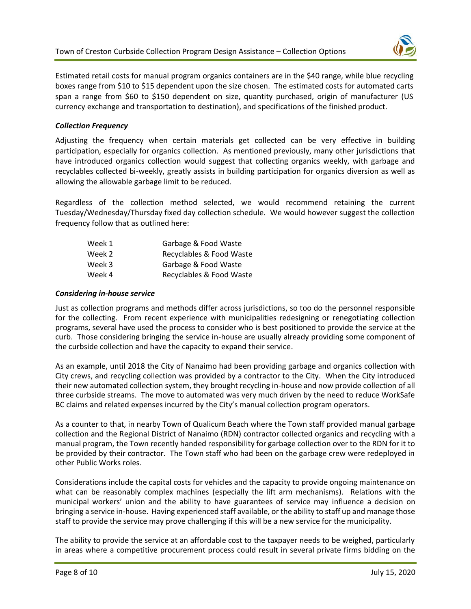

Estimated retail costs for manual program organics containers are in the \$40 range, while blue recycling boxes range from \$10 to \$15 dependent upon the size chosen. The estimated costs for automated carts span a range from \$60 to \$150 dependent on size, quantity purchased, origin of manufacturer (US currency exchange and transportation to destination), and specifications of the finished product.

# *Collection Frequency*

Adjusting the frequency when certain materials get collected can be very effective in building participation, especially for organics collection. As mentioned previously, many other jurisdictions that have introduced organics collection would suggest that collecting organics weekly, with garbage and recyclables collected bi-weekly, greatly assists in building participation for organics diversion as well as allowing the allowable garbage limit to be reduced.

Regardless of the collection method selected, we would recommend retaining the current Tuesday/Wednesday/Thursday fixed day collection schedule. We would however suggest the collection frequency follow that as outlined here:

| Week 1 | Garbage & Food Waste     |
|--------|--------------------------|
| Week 2 | Recyclables & Food Waste |
| Week 3 | Garbage & Food Waste     |
| Week 4 | Recyclables & Food Waste |

### *Considering in-house service*

Just as collection programs and methods differ across jurisdictions, so too do the personnel responsible for the collecting. From recent experience with municipalities redesigning or renegotiating collection programs, several have used the process to consider who is best positioned to provide the service at the curb. Those considering bringing the service in-house are usually already providing some component of the curbside collection and have the capacity to expand their service.

As an example, until 2018 the City of Nanaimo had been providing garbage and organics collection with City crews, and recycling collection was provided by a contractor to the City. When the City introduced their new automated collection system, they brought recycling in-house and now provide collection of all three curbside streams. The move to automated was very much driven by the need to reduce WorkSafe BC claims and related expenses incurred by the City's manual collection program operators.

As a counter to that, in nearby Town of Qualicum Beach where the Town staff provided manual garbage collection and the Regional District of Nanaimo (RDN) contractor collected organics and recycling with a manual program, the Town recently handed responsibility for garbage collection over to the RDN for it to be provided by their contractor. The Town staff who had been on the garbage crew were redeployed in other Public Works roles.

Considerations include the capital costs for vehicles and the capacity to provide ongoing maintenance on what can be reasonably complex machines (especially the lift arm mechanisms). Relations with the municipal workers' union and the ability to have guarantees of service may influence a decision on bringing a service in-house. Having experienced staff available, or the ability to staff up and manage those staff to provide the service may prove challenging if this will be a new service for the municipality.

The ability to provide the service at an affordable cost to the taxpayer needs to be weighed, particularly in areas where a competitive procurement process could result in several private firms bidding on the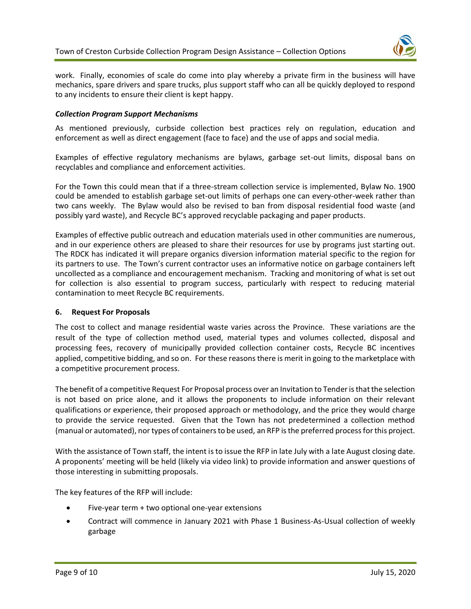

work. Finally, economies of scale do come into play whereby a private firm in the business will have mechanics, spare drivers and spare trucks, plus support staff who can all be quickly deployed to respond to any incidents to ensure their client is kept happy.

### *Collection Program Support Mechanisms*

As mentioned previously, curbside collection best practices rely on regulation, education and enforcement as well as direct engagement (face to face) and the use of apps and social media.

Examples of effective regulatory mechanisms are bylaws, garbage set-out limits, disposal bans on recyclables and compliance and enforcement activities.

For the Town this could mean that if a three-stream collection service is implemented, Bylaw No. 1900 could be amended to establish garbage set-out limits of perhaps one can every-other-week rather than two cans weekly. The Bylaw would also be revised to ban from disposal residential food waste (and possibly yard waste), and Recycle BC's approved recyclable packaging and paper products.

Examples of effective public outreach and education materials used in other communities are numerous, and in our experience others are pleased to share their resources for use by programs just starting out. The RDCK has indicated it will prepare organics diversion information material specific to the region for its partners to use. The Town's current contractor uses an informative notice on garbage containers left uncollected as a compliance and encouragement mechanism. Tracking and monitoring of what is set out for collection is also essential to program success, particularly with respect to reducing material contamination to meet Recycle BC requirements.

### **6. Request For Proposals**

The cost to collect and manage residential waste varies across the Province. These variations are the result of the type of collection method used, material types and volumes collected, disposal and processing fees, recovery of municipally provided collection container costs, Recycle BC incentives applied, competitive bidding, and so on. For these reasonsthere is merit in going to the marketplace with a competitive procurement process.

The benefit of a competitive Request For Proposal process over an Invitation to Tender is that the selection is not based on price alone, and it allows the proponents to include information on their relevant qualifications or experience, their proposed approach or methodology, and the price they would charge to provide the service requested. Given that the Town has not predetermined a collection method (manual or automated), nor types of containers to be used, an RFP is the preferred process for this project.

With the assistance of Town staff, the intent is to issue the RFP in late July with a late August closing date. A proponents' meeting will be held (likely via video link) to provide information and answer questions of those interesting in submitting proposals.

The key features of the RFP will include:

- Five-year term + two optional one-year extensions
- Contract will commence in January 2021 with Phase 1 Business-As-Usual collection of weekly garbage